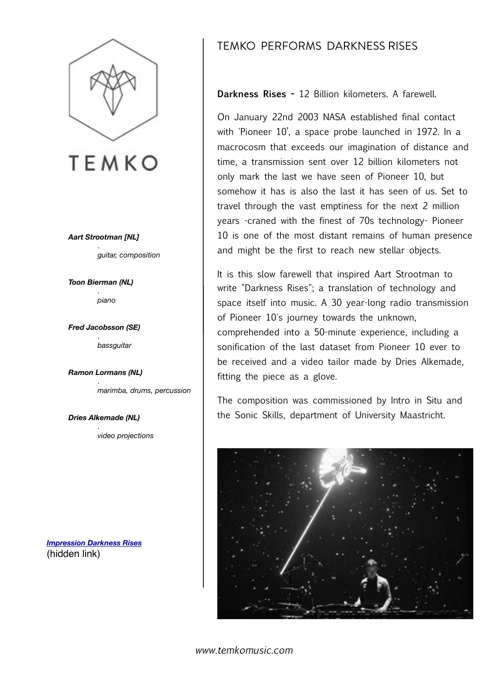

## **TEMKO**

*Aart Strootman [NL]* .  *guitar, composition*

*Toon Bierman (NL)* . *piano* 

*Fred Jacobsson (SE)*  . *bassguitar* 

*Ramon Lormans (NL)*  .

 *marimba, drums, percussion*

*Dries Alkemade (NL)*  .  *video projections*

*[Impression Darkness Rises](https://www.youtube.com/watch?v=qF80dnYb0-E)* (hidden link)

## TEMKO PERFORMS DARKNESS RISES

**Darkness Rises -** 12 Billion kilometers. A farewell.

On January 22nd 2003 NASA established final contact with 'Pioneer 10', a space probe launched in 1972. In a macrocosm that exceeds our imagination of distance and time, a transmission sent over 12 billion kilometers not only mark the last we have seen of Pioneer 10, but somehow it has is also the last it has seen of us. Set to travel through the vast emptiness for the next 2 million years -craned with the finest of 70s technology- Pioneer 10 is one of the most distant remains of human presence and might be the first to reach new stellar objects.

It is this slow farewell that inspired Aart Strootman to write "Darkness Rises"; a translation of technology and space itself into music. A 30 year-long radio transmission of Pioneer 10's journey towards the unknown, comprehended into a 50-minute experience, including a sonification of the last dataset from Pioneer 10 ever to be received and a video tailor made by Dries Alkemade, fitting the piece as a glove.

The composition was commissioned by Intro in Situ and the Sonic Skills, department of University Maastricht.